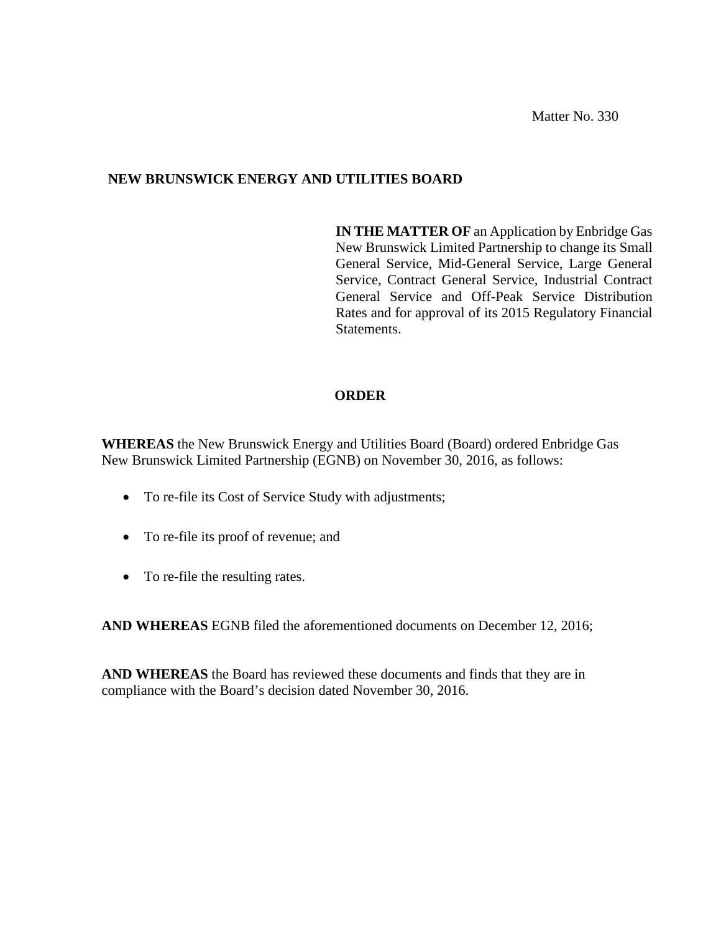Matter No. 330

### **NEW BRUNSWICK ENERGY AND UTILITIES BOARD**

**IN THE MATTER OF** an Application by Enbridge Gas New Brunswick Limited Partnership to change its Small General Service, Mid-General Service, Large General Service, Contract General Service, Industrial Contract General Service and Off-Peak Service Distribution Rates and for approval of its 2015 Regulatory Financial Statements.

### **ORDER**

**WHEREAS** the New Brunswick Energy and Utilities Board (Board) ordered Enbridge Gas New Brunswick Limited Partnership (EGNB) on November 30, 2016, as follows:

- To re-file its Cost of Service Study with adjustments;
- To re-file its proof of revenue; and
- To re-file the resulting rates.

**AND WHEREAS** EGNB filed the aforementioned documents on December 12, 2016;

**AND WHEREAS** the Board has reviewed these documents and finds that they are in compliance with the Board's decision dated November 30, 2016.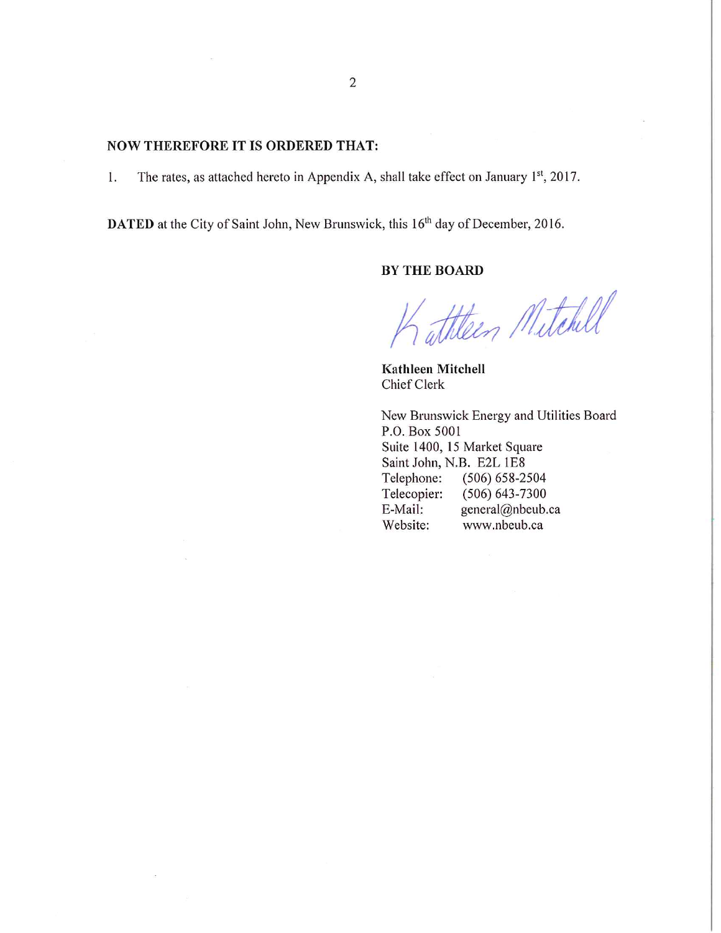#### **NOW THEREFORE IT IS ORDERED THAT:**

The rates, as attached hereto in Appendix A, shall take effect on January 1<sup>st</sup>, 2017. 1.

DATED at the City of Saint John, New Brunswick, this 16<sup>th</sup> day of December, 2016.

### **BY THE BOARD**

Tathteen Mitchell

Kathleen Mitchell Chief Clerk

New Brunswick Energy and Utilities Board P.O. Box 5001 Suite 1400, 15 Market Square Saint John, N.B. E2L 1E8 Telephone:  $(506) 658 - 2504$ Telecopier:  $(506) 643 - 7300$ E-Mail: general@nbeub.ca Website: www.nbeub.ca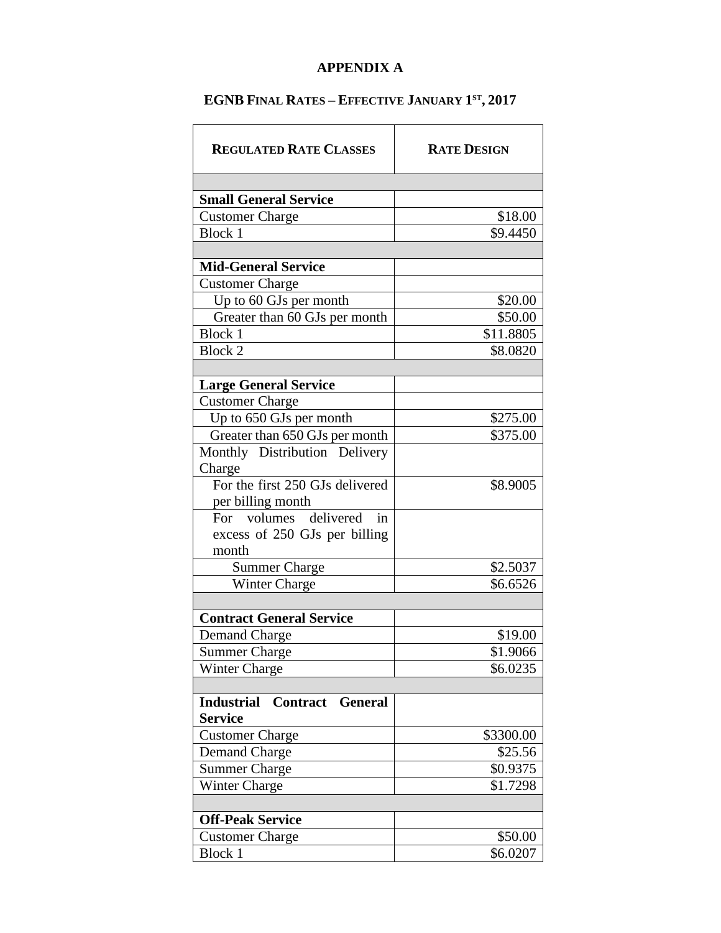## **APPENDIX A**

# **EGNB FINAL RATES – EFFECTIVE JANUARY 1ST, 2017**

| <b>REGULATED RATE CLASSES</b>                | <b>RATE DESIGN</b> |
|----------------------------------------------|--------------------|
|                                              |                    |
| <b>Small General Service</b>                 |                    |
| <b>Customer Charge</b>                       | \$18.00            |
| <b>Block 1</b>                               | \$9.4450           |
|                                              |                    |
| <b>Mid-General Service</b>                   |                    |
| <b>Customer Charge</b>                       |                    |
| Up to 60 GJs per month                       | \$20.00            |
| Greater than 60 GJs per month                | \$50.00            |
| Block 1                                      | \$11.8805          |
| <b>Block 2</b>                               | \$8.0820           |
|                                              |                    |
| <b>Large General Service</b>                 |                    |
| <b>Customer Charge</b>                       |                    |
| Up to 650 GJs per month                      | \$275.00           |
| Greater than 650 GJs per month               | \$375.00           |
| Monthly Distribution Delivery                |                    |
| Charge                                       |                    |
| For the first 250 GJs delivered              | \$8.9005           |
| per billing month                            |                    |
| For volumes delivered<br>in                  |                    |
| excess of 250 GJs per billing                |                    |
| month                                        |                    |
| <b>Summer Charge</b>                         | \$2.5037           |
| Winter Charge                                | \$6.6526           |
|                                              |                    |
| <b>Contract General Service</b>              |                    |
| Demand Charge                                | \$19.00            |
| <b>Summer Charge</b>                         | \$1.9066           |
| Winter Charge                                | \$6.0235           |
|                                              |                    |
| <b>Industrial</b><br><b>Contract General</b> |                    |
| <b>Service</b>                               |                    |
| <b>Customer Charge</b>                       | \$3300.00          |
| <b>Demand Charge</b>                         | \$25.56            |
| <b>Summer Charge</b>                         | \$0.9375           |
| Winter Charge                                | \$1.7298           |
|                                              |                    |
| <b>Off-Peak Service</b>                      |                    |
| <b>Customer Charge</b>                       | \$50.00            |
| <b>Block 1</b>                               | \$6.0207           |